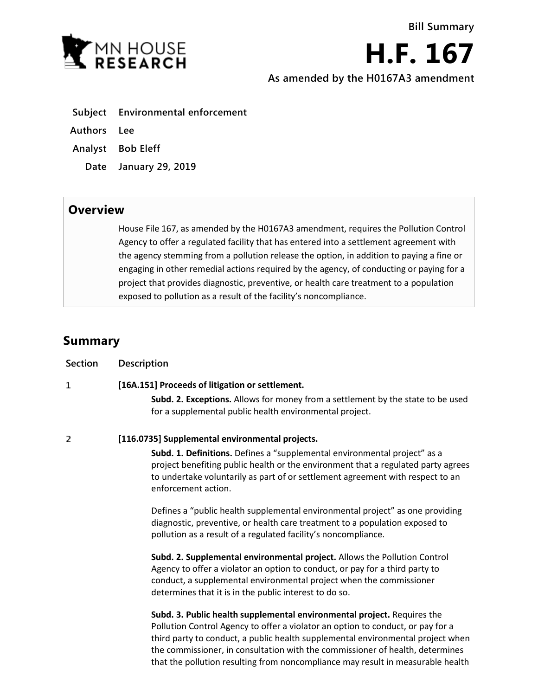

**H.F. 167**

**As amended by the H0167A3 amendment**

- **Subject Environmental enforcement**
- **Authors Lee**
- **Analyst Bob Eleff**
	- **Date January 29, 2019**

## **Overview**

House File 167, as amended by the H0167A3 amendment, requires the Pollution Control Agency to offer a regulated facility that has entered into a settlement agreement with the agency stemming from a pollution release the option, in addition to paying a fine or engaging in other remedial actions required by the agency, of conducting or paying for a project that provides diagnostic, preventive, or health care treatment to a population exposed to pollution as a result of the facility's noncompliance.

## **Summary**

| Section | <b>Description</b>                                                                                                                                                                                                                                                                                                                                                                                                |
|---------|-------------------------------------------------------------------------------------------------------------------------------------------------------------------------------------------------------------------------------------------------------------------------------------------------------------------------------------------------------------------------------------------------------------------|
| 1       | [16A.151] Proceeds of litigation or settlement.                                                                                                                                                                                                                                                                                                                                                                   |
|         | Subd. 2. Exceptions. Allows for money from a settlement by the state to be used<br>for a supplemental public health environmental project.                                                                                                                                                                                                                                                                        |
| 2       | [116.0735] Supplemental environmental projects.                                                                                                                                                                                                                                                                                                                                                                   |
|         | Subd. 1. Definitions. Defines a "supplemental environmental project" as a<br>project benefiting public health or the environment that a regulated party agrees<br>to undertake voluntarily as part of or settlement agreement with respect to an<br>enforcement action.                                                                                                                                           |
|         | Defines a "public health supplemental environmental project" as one providing<br>diagnostic, preventive, or health care treatment to a population exposed to<br>pollution as a result of a regulated facility's noncompliance.                                                                                                                                                                                    |
|         | Subd. 2. Supplemental environmental project. Allows the Pollution Control<br>Agency to offer a violator an option to conduct, or pay for a third party to<br>conduct, a supplemental environmental project when the commissioner<br>determines that it is in the public interest to do so.                                                                                                                        |
|         | Subd. 3. Public health supplemental environmental project. Requires the<br>Pollution Control Agency to offer a violator an option to conduct, or pay for a<br>third party to conduct, a public health supplemental environmental project when<br>the commissioner, in consultation with the commissioner of health, determines<br>that the pollution resulting from noncompliance may result in measurable health |